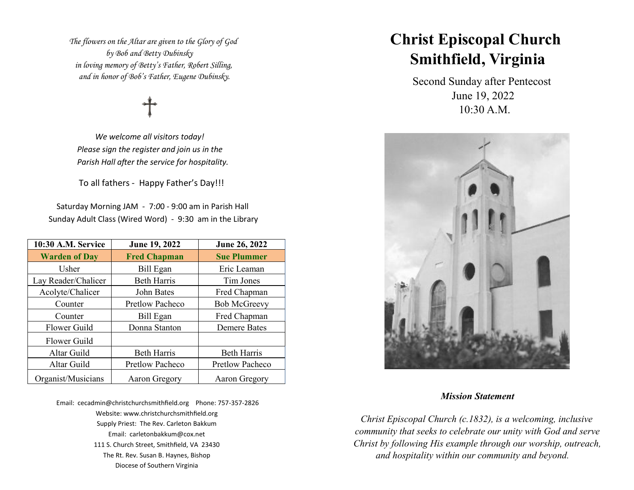*The flowers on the Altar are given to the Glory of God by Bob and Betty Dubinsky in loving memory of Betty's Father, Robert Silling, and in honor of Bob's Father, Eugene Dubinsky.*

 *We welcome all visitors today! Please sign the register and join us in the Parish Hall after the service for hospitality.* 

To all fathers - Happy Father's Day!!!

 Saturday Morning JAM - 7:*0*0 - 9:00 am in Parish Hall Sunday Adult Class (Wired Word) - 9:30 am in the Library

| 10:30 A.M. Service   | June 19, 2022          | June 26, 2022       |  |
|----------------------|------------------------|---------------------|--|
| <b>Warden of Day</b> | <b>Fred Chapman</b>    | <b>Sue Plummer</b>  |  |
| Usher                | Bill Egan              | Eric Leaman         |  |
| Lay Reader/Chalicer  | <b>Beth Harris</b>     | Tim Jones           |  |
| Acolyte/Chalicer     | John Bates             | Fred Chapman        |  |
| Counter              | <b>Pretlow Pacheco</b> | <b>Bob McGreevy</b> |  |
| Counter              | Bill Egan              | Fred Chapman        |  |
| Flower Guild         | Donna Stanton          | <b>Demere Bates</b> |  |
| Flower Guild         |                        |                     |  |
| Altar Guild          | <b>Beth Harris</b>     | <b>Beth Harris</b>  |  |
| Altar Guild          | <b>Pretlow Pacheco</b> | Pretlow Pacheco     |  |
| Organist/Musicians   | Aaron Gregory          | Aaron Gregory       |  |

Email: cecadmin@christchurchsmithfield.org Phone: 757-357-2826 Website: www.christchurchsmithfield.org Supply Priest: The Rev. Carleton Bakkum Email: carletonbakkum@cox.net 111 S. Church Street, Smithfield, VA 23430 The Rt. Rev. Susan B. Haynes, Bishop Diocese of Southern Virginia

# **Christ Episcopal Church Smithfield, Virginia**

 Second Sunday after Pentecost June 19, 2022 10:30 A.M.



### *Mission Statement*

 *Christ Episcopal Church (c.1832), is a welcoming, inclusive community that seeks to celebrate our unity with God and serve Christ by following His example through our worship, outreach, and hospitality within our community and beyond.*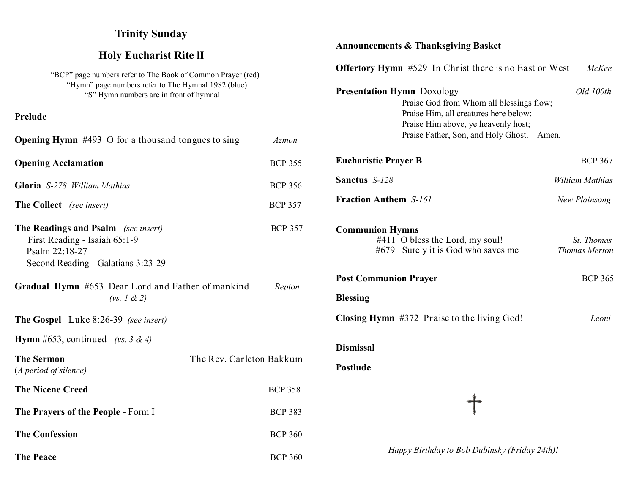# **Trinity Sunday**

# **Holy Eucharist Rite lI**

"BCP" page numbers refer to The Book of Common Prayer (red) "Hymn" page numbers refer to The Hymnal 1982 (blue) "S" Hymn numbers are in front of hymnal

**Prelude** 

| <b>Opening Hymn</b> $\#493$ O for a thousand tongues to sing                                                                        | <b>Azmon</b>   |
|-------------------------------------------------------------------------------------------------------------------------------------|----------------|
| <b>Opening Acclamation</b>                                                                                                          | <b>BCP 355</b> |
| Gloria S-278 William Mathias                                                                                                        | <b>BCP 356</b> |
| <b>The Collect</b> (see insert)                                                                                                     | <b>BCP 357</b> |
| <b>The Readings and Psalm</b> (see insert)<br>First Reading - Isaiah 65:1-9<br>Psalm 22:18-27<br>Second Reading - Galatians 3:23-29 | <b>BCP 357</b> |
| Gradual Hymn #653 Dear Lord and Father of mankind<br>(vs. 1 & 2)                                                                    | Repton         |
| <b>The Gospel</b> Luke 8:26-39 (see insert)                                                                                         |                |
| <b>Hymn</b> #653, continued (vs. 3 & 4)                                                                                             |                |
| <b>The Sermon</b><br>The Rev. Carleton Bakkum<br>(A period of silence)                                                              |                |
| <b>The Nicene Creed</b>                                                                                                             | <b>BCP 358</b> |
| The Prayers of the People - Form I                                                                                                  | <b>BCP 383</b> |
| <b>The Confession</b>                                                                                                               | <b>BCP 360</b> |

**The Peace** BCP 360

# **Announcements & Thanksgiving Basket**

| <b>Offertory Hymn</b> #529 In Christ there is no East or West                                                                                                                                              | McKee                              |
|------------------------------------------------------------------------------------------------------------------------------------------------------------------------------------------------------------|------------------------------------|
| <b>Presentation Hymn Doxology</b><br>Praise God from Whom all blessings flow;<br>Praise Him, all creatures here below;<br>Praise Him above, ye heavenly host;<br>Praise Father, Son, and Holy Ghost. Amen. | Old 100th                          |
| <b>Eucharistic Prayer B</b>                                                                                                                                                                                | <b>BCP 367</b>                     |
| Sanctus S-128                                                                                                                                                                                              | <b>William Mathias</b>             |
| <b>Fraction Anthem S-161</b>                                                                                                                                                                               | New Plainsong                      |
| <b>Communion Hymns</b><br>#411 O bless the Lord, my soul!<br>#679 Surely it is God who saves me                                                                                                            | St. Thomas<br><b>Thomas Merton</b> |
| <b>Post Communion Prayer</b>                                                                                                                                                                               | <b>BCP 365</b>                     |
| <b>Blessing</b>                                                                                                                                                                                            |                                    |
| Closing Hymn #372 Praise to the living God!                                                                                                                                                                | Leoni                              |
| <b>Dismissal</b>                                                                                                                                                                                           |                                    |
| <b>Postlude</b>                                                                                                                                                                                            |                                    |
|                                                                                                                                                                                                            |                                    |

 *Happy Birthday to Bob Dubinsky (Friday 24th)!*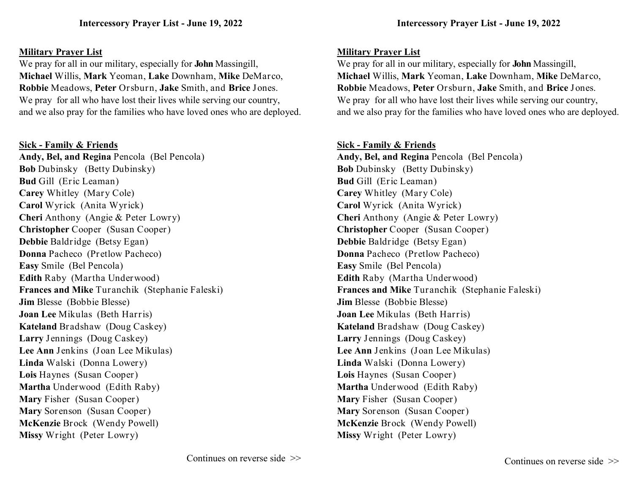# **Military Prayer List**

We pray for all in our military, especially for **John** Massingill, **Michael** Willis, **Mark** Yeoman, **Lake** Downham, **Mike** DeMarco, **Robbie** Meadows, **Peter** Orsburn, **Jake** Smith, and **Brice** Jones. We pray for all who have lost their lives while serving our country, and we also pray for the families who have loved ones who are deployed.

# **Sick - Family & Friends**

**Andy, Bel, and Regina** Pencola (Bel Pencola) **Bob** Dubinsky (Betty Dubinsky) **Bud** Gill (Eric Leaman) **Carey** Whitley (Mary Cole) **Carol** Wyrick (Anita Wyrick) **Cheri** Anthony (Angie & Peter Lowry) **Christopher** Cooper (Susan Cooper) **Debbie** Baldridge (Betsy Egan) **Donna** Pacheco (Pretlow Pacheco) **Easy** Smile (Bel Pencola) **Edith** Raby (Martha Underwood) **Frances and Mike** Turanchik (Stephanie Faleski) **Jim** Blesse (Bobbie Blesse) **Joan Lee** Mikulas (Beth Harris) **Kateland** Bradshaw (Doug Caskey) **Larry** Jennings (Doug Caskey) **Lee Ann** Jenkins (Joan Lee Mikulas) **Linda** Walski (Donna Lowery) **Lois** Haynes (Susan Cooper) **Martha** Underwood (Edith Raby) **Mary** Fisher (Susan Cooper) **Mary** Sorenson (Susan Cooper) **McKenzie** Brock (Wendy Powell) **Missy** Wright (Peter Lowry)

# **Military Prayer List**

We pray for all in our military, especially for **John** Massingill, **Michael** Willis, **Mark** Yeoman, **Lake** Downham, **Mike** DeMarco, **Robbie** Meadows, **Peter** Orsburn, **Jake** Smith, and **Brice** Jones. We pray for all who have lost their lives while serving our country, and we also pray for the families who have loved ones who are deployed.

# **Sick - Family & Friends**

**Andy, Bel, and Regina** Pencola (Bel Pencola) **Bob** Dubinsky (Betty Dubinsky) **Bud** Gill (Eric Leaman) **Carey** Whitley (Mary Cole) **Carol** Wyrick (Anita Wyrick) **Cheri** Anthony (Angie & Peter Lowry) **Christopher** Cooper (Susan Cooper) **Debbie** Baldridge (Betsy Egan) **Donna** Pacheco (Pretlow Pacheco) **Easy** Smile (Bel Pencola) **Edith** Raby (Martha Underwood) **Frances and Mike** Turanchik (Stephanie Faleski) **Jim** Blesse (Bobbie Blesse) **Joan Lee** Mikulas (Beth Harris) **Kateland** Bradshaw (Doug Caskey) **Larry** Jennings (Doug Caskey) **Lee Ann** Jenkins (Joan Lee Mikulas) **Linda** Walski (Donna Lowery) **Lois** Haynes (Susan Cooper) **Martha** Underwood (Edith Raby) **Mary** Fisher (Susan Cooper) **Mary** Sorenson (Susan Cooper) **McKenzie** Brock (Wendy Powell) **Missy** Wright (Peter Lowry)